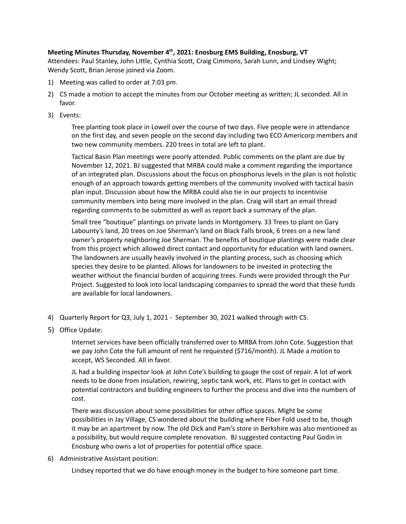## **Meeting Minutes Thursday, November 4 th , 2021: Enosburg EMS Building, Enosburg, VT**

Attendees: Paul Stanley, John Little, Cynthia Scott, Craig Cimmons, Sarah Lunn, and Lindsey Wight; Wendy Scott, Brian Jerose joined via Zoom.

- 1) Meeting was called to order at 7:03 pm.
- 2) CS made a motion to accept the minutes from our October meeting as written; JL seconded. All in favor.
- 3) Events:

Tree planting took place in Lowell over the course of two days. Five people were in attendance on the first day, and seven people on the second day including two ECO Americorp members and two new community members. 220 trees in total are left to plant.

Tactical Basin Plan meetings were poorly attended. Public comments on the plant are due by November 12, 2021. BJ suggested that MRBA could make a comment regarding the importance of an integrated plan. Discussions about the focus on phosphorus levels in the plan is not holistic enough of an approach towards getting members of the community involved with tactical basin plan input. Discussion about how the MRBA could also tie in our projects to incentivise community members into being more involved in the plan. Craig will start an email thread regarding comments to be submitted as well as report back a summary of the plan.

Small tree "boutique" plantings on private lands in Montgomery. 33 Trees to plant on Gary Labounty's land, 20 trees on Joe Sherman's land on Black Falls brook, 6 trees on a new land owner's property neighboring Joe Sherman. The benefits of boutique plantings were made clear from this project which allowed direct contact and opportunity for education with land owners. The landowners are usually heavily involved in the planting process, such as choosing which species they desire to be planted. Allows for landowners to be invested in protecting the weather without the financial burden of acquiring trees. Funds were provided through the Pur Project. Suggested to look into local landscaping companies to spread the word that these funds are available for local landowners.

- 4) Quarterly Report for Q3, July 1, 2021 September 30, 2021 walked through with CS.
- 5) Office Update:

Internet services have been officially transferred over to MRBA from John Cote. Suggestion that we pay John Cote the full amount of rent he requested (\$716/month). JL Made a motion to accept, WS Seconded. All in favor.

JL had a building inspector look at John Cote's building to gauge the cost of repair. A lot of work needs to be done from insulation, rewiring, septic tank work, etc. Plans to get in contact with potential contractors and building engineers to further the process and dive into the numbers of cost.

There was discussion about some possibilities for other office spaces. Might be some possibilities in Jay Village, CS wondered about the building where Fiber Fold used to be, though it may be an apartment by now. The old Dick and Pam's store in Berkshire was also mentioned as a possibility, but would require complete renovation. BJ suggested contacting Paul Godin in Enosburg who owns a lot of properties for potential office space.

6) Administrative Assistant position:

Lindsey reported that we do have enough money in the budget to hire someone part time.